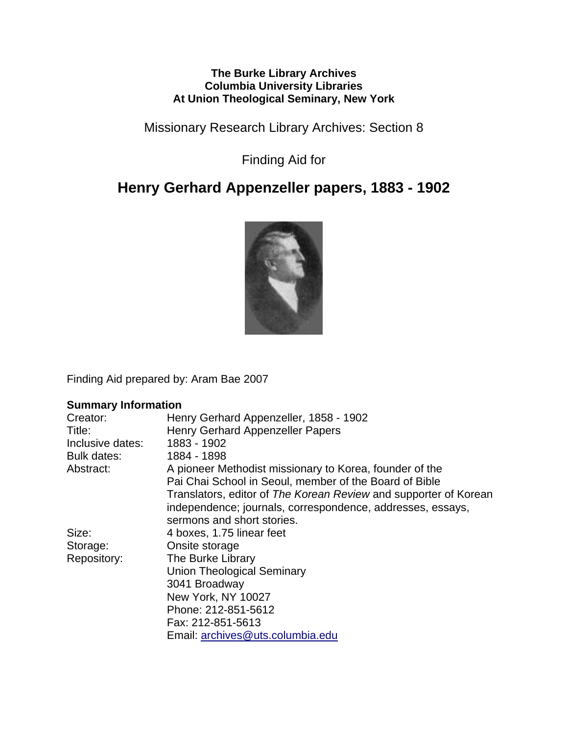#### **The Burke Library Archives Columbia University Libraries At Union Theological Seminary, New York**

Missionary Research Library Archives: Section 8

Finding Aid for

# **Henry Gerhard Appenzeller papers, 1883 - 1902**



Finding Aid prepared by: Aram Bae 2007

#### **Summary Information**

| Creator:           | Henry Gerhard Appenzeller, 1858 - 1902                           |
|--------------------|------------------------------------------------------------------|
| Title:             | Henry Gerhard Appenzeller Papers                                 |
| Inclusive dates:   | 1883 - 1902                                                      |
| <b>Bulk dates:</b> | 1884 - 1898                                                      |
| Abstract:          | A pioneer Methodist missionary to Korea, founder of the          |
|                    | Pai Chai School in Seoul, member of the Board of Bible           |
|                    | Translators, editor of The Korean Review and supporter of Korean |
|                    | independence; journals, correspondence, addresses, essays,       |
|                    | sermons and short stories.                                       |
| Size:              | 4 boxes, 1.75 linear feet                                        |
| Storage:           | Onsite storage                                                   |
| Repository:        | The Burke Library                                                |
|                    | <b>Union Theological Seminary</b>                                |
|                    | 3041 Broadway                                                    |
|                    | New York, NY 10027                                               |
|                    | Phone: 212-851-5612                                              |
|                    | Fax: 212-851-5613                                                |
|                    | Email: archives@uts.columbia.edu                                 |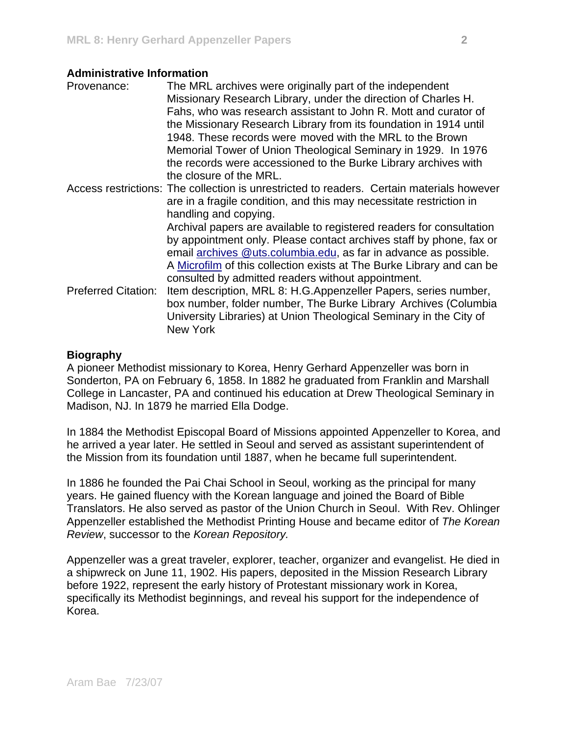#### **Administrative Information**

| Provenance:                | The MRL archives were originally part of the independent<br>Missionary Research Library, under the direction of Charles H. |
|----------------------------|----------------------------------------------------------------------------------------------------------------------------|
|                            | Fahs, who was research assistant to John R. Mott and curator of                                                            |
|                            | the Missionary Research Library from its foundation in 1914 until                                                          |
|                            | 1948. These records were moved with the MRL to the Brown                                                                   |
|                            | Memorial Tower of Union Theological Seminary in 1929. In 1976                                                              |
|                            | the records were accessioned to the Burke Library archives with                                                            |
|                            | the closure of the MRL.                                                                                                    |
|                            | Access restrictions: The collection is unrestricted to readers. Certain materials however                                  |
|                            | are in a fragile condition, and this may necessitate restriction in                                                        |
|                            | handling and copying.                                                                                                      |
|                            | Archival papers are available to registered readers for consultation                                                       |
|                            | by appointment only. Please contact archives staff by phone, fax or                                                        |
|                            | email archives @uts.columbia.edu, as far in advance as possible.                                                           |
|                            | A Microfilm of this collection exists at The Burke Library and can be                                                      |
|                            | consulted by admitted readers without appointment.                                                                         |
| <b>Preferred Citation:</b> | Item description, MRL 8: H.G.Appenzeller Papers, series number,                                                            |
|                            | box number, folder number, The Burke Library Archives (Columbia                                                            |
|                            | University Libraries) at Union Theological Seminary in the City of                                                         |
|                            | New York                                                                                                                   |

#### **Biography**

A pioneer Methodist missionary to Korea, Henry Gerhard Appenzeller was born in Sonderton, PA on February 6, 1858. In 1882 he graduated from Franklin and Marshall College in Lancaster, PA and continued his education at Drew Theological Seminary in Madison, NJ. In 1879 he married Ella Dodge.

In 1884 the Methodist Episcopal Board of Missions appointed Appenzeller to Korea, and he arrived a year later. He settled in Seoul and served as assistant superintendent of the Mission from its foundation until 1887, when he became full superintendent.

In 1886 he founded the Pai Chai School in Seoul, working as the principal for many years. He gained fluency with the Korean language and joined the Board of Bible Translators. He also served as pastor of the Union Church in Seoul. With Rev. Ohlinger Appenzeller established the Methodist Printing House and became editor of *The Korean Review*, successor to the *Korean Repository.* 

Appenzeller was a great traveler, explorer, teacher, organizer and evangelist. He died in a shipwreck on June 11, 1902. His papers, deposited in the Mission Research Library before 1922, represent the early history of Protestant missionary work in Korea, specifically its Methodist beginnings, and reveal his support for the independence of Korea.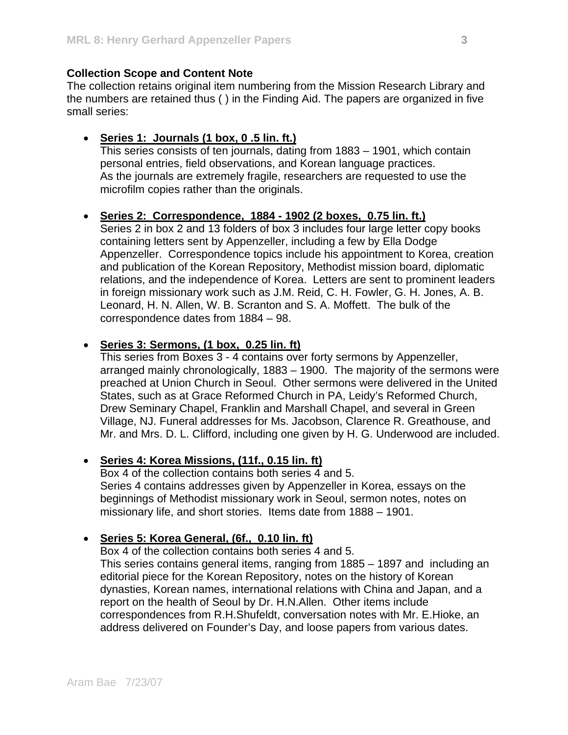#### **Collection Scope and Content Note**

The collection retains original item numbering from the Mission Research Library and the numbers are retained thus ( ) in the Finding Aid. The papers are organized in five small series:

#### • **Series 1: Journals (1 box, 0 .5 lin. ft.)**

This series consists of ten journals, dating from 1883 – 1901, which contain personal entries, field observations, and Korean language practices. As the journals are extremely fragile, researchers are requested to use the microfilm copies rather than the originals.

#### • **Series 2: Correspondence, 1884 - 1902 (2 boxes, 0.75 lin. ft.)**

Series 2 in box 2 and 13 folders of box 3 includes four large letter copy books containing letters sent by Appenzeller, including a few by Ella Dodge Appenzeller. Correspondence topics include his appointment to Korea, creation and publication of the Korean Repository, Methodist mission board, diplomatic relations, and the independence of Korea. Letters are sent to prominent leaders in foreign missionary work such as J.M. Reid, C. H. Fowler, G. H. Jones, A. B. Leonard, H. N. Allen, W. B. Scranton and S. A. Moffett. The bulk of the correspondence dates from 1884 – 98.

#### • **Series 3: Sermons, (1 box, 0.25 lin. ft)**

This series from Boxes 3 - 4 contains over forty sermons by Appenzeller, arranged mainly chronologically, 1883 – 1900. The majority of the sermons were preached at Union Church in Seoul. Other sermons were delivered in the United States, such as at Grace Reformed Church in PA, Leidy's Reformed Church, Drew Seminary Chapel, Franklin and Marshall Chapel, and several in Green Village, NJ. Funeral addresses for Ms. Jacobson, Clarence R. Greathouse, and Mr. and Mrs. D. L. Clifford, including one given by H. G. Underwood are included.

#### • **Series 4: Korea Missions, (11f., 0.15 lin. ft)**

Box 4 of the collection contains both series 4 and 5. Series 4 contains addresses given by Appenzeller in Korea, essays on the beginnings of Methodist missionary work in Seoul, sermon notes, notes on missionary life, and short stories. Items date from 1888 – 1901.

#### • **Series 5: Korea General, (6f., 0.10 lin. ft)**

Box 4 of the collection contains both series 4 and 5.

This series contains general items, ranging from 1885 – 1897 and including an editorial piece for the Korean Repository, notes on the history of Korean dynasties, Korean names, international relations with China and Japan, and a report on the health of Seoul by Dr. H.N.Allen. Other items include correspondences from R.H.Shufeldt, conversation notes with Mr. E.Hioke, an address delivered on Founder's Day, and loose papers from various dates.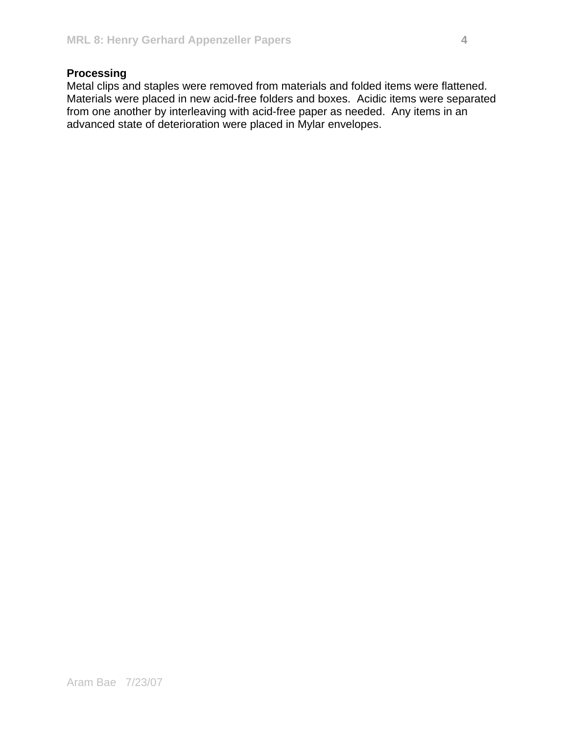### **Processing**

Metal clips and staples were removed from materials and folded items were flattened. Materials were placed in new acid-free folders and boxes. Acidic items were separated from one another by interleaving with acid-free paper as needed. Any items in an advanced state of deterioration were placed in Mylar envelopes.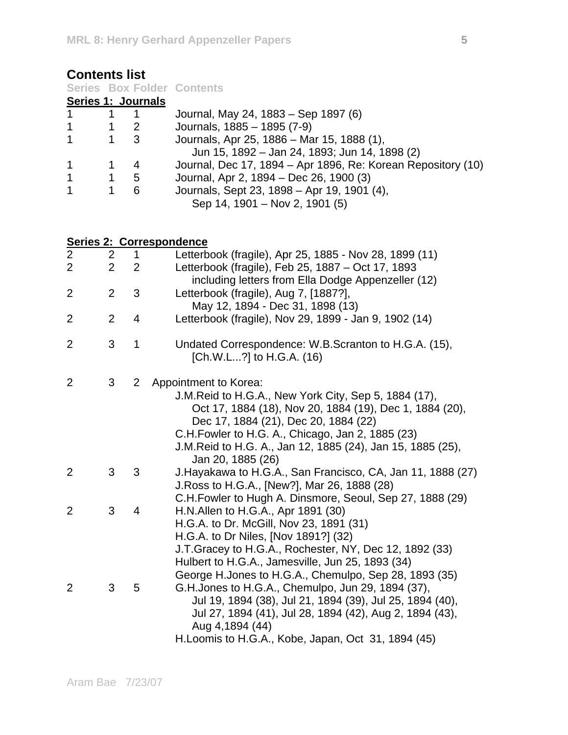| <b>Contents list</b>                                           |                |                          |                                                                                                                                                                                                                                                                                                      |
|----------------------------------------------------------------|----------------|--------------------------|------------------------------------------------------------------------------------------------------------------------------------------------------------------------------------------------------------------------------------------------------------------------------------------------------|
| <b>Series Box Folder Contents</b><br><b>Series 1: Journals</b> |                |                          |                                                                                                                                                                                                                                                                                                      |
|                                                                |                |                          |                                                                                                                                                                                                                                                                                                      |
| 1                                                              | 1              | 1                        | Journal, May 24, 1883 - Sep 1897 (6)                                                                                                                                                                                                                                                                 |
| 1                                                              | 1              | $\overline{c}$           | Journals, 1885 - 1895 (7-9)                                                                                                                                                                                                                                                                          |
| 1                                                              | 1              | 3                        | Journals, Apr 25, 1886 - Mar 15, 1888 (1),<br>Jun 15, 1892 – Jan 24, 1893; Jun 14, 1898 (2)                                                                                                                                                                                                          |
| 1                                                              | 1              | 4                        | Journal, Dec 17, 1894 – Apr 1896, Re: Korean Repository (10)                                                                                                                                                                                                                                         |
| 1                                                              | 1              | 5                        | Journal, Apr 2, 1894 – Dec 26, 1900 (3)                                                                                                                                                                                                                                                              |
| 1                                                              | 1              | 6                        | Journals, Sept 23, 1898 - Apr 19, 1901 (4),<br>Sep 14, 1901 - Nov 2, 1901 (5)                                                                                                                                                                                                                        |
|                                                                |                | Series 2: Correspondence |                                                                                                                                                                                                                                                                                                      |
| 2                                                              | 2              | 1                        | Letterbook (fragile), Apr 25, 1885 - Nov 28, 1899 (11)                                                                                                                                                                                                                                               |
| $\overline{2}$                                                 | $\overline{2}$ | 2                        | Letterbook (fragile), Feb 25, 1887 – Oct 17, 1893<br>including letters from Ella Dodge Appenzeller (12)                                                                                                                                                                                              |
| 2                                                              | $\overline{2}$ | 3                        | Letterbook (fragile), Aug 7, [1887?],                                                                                                                                                                                                                                                                |
|                                                                |                |                          | May 12, 1894 - Dec 31, 1898 (13)                                                                                                                                                                                                                                                                     |
| 2                                                              | $\overline{2}$ | 4                        | Letterbook (fragile), Nov 29, 1899 - Jan 9, 1902 (14)                                                                                                                                                                                                                                                |
| 2                                                              | 3              | 1                        | Undated Correspondence: W.B.Scranton to H.G.A. (15),<br>[Ch.W.L?] to H.G.A. (16)                                                                                                                                                                                                                     |
| 2                                                              | 3              | $\mathbf{2}$             | Appointment to Korea:<br>J.M. Reid to H.G.A., New York City, Sep 5, 1884 (17),<br>Oct 17, 1884 (18), Nov 20, 1884 (19), Dec 1, 1884 (20),<br>Dec 17, 1884 (21), Dec 20, 1884 (22)<br>C.H. Fowler to H.G. A., Chicago, Jan 2, 1885 (23)<br>J.M.Reid to H.G. A., Jan 12, 1885 (24), Jan 15, 1885 (25), |
|                                                                |                |                          | Jan 20, 1885 (26)                                                                                                                                                                                                                                                                                    |
| 2                                                              | 3              | 3                        | J. Hayakawa to H.G.A., San Francisco, CA, Jan 11, 1888 (27)<br>J. Ross to H.G.A., [New?], Mar 26, 1888 (28)                                                                                                                                                                                          |
|                                                                |                |                          | C.H.Fowler to Hugh A. Dinsmore, Seoul, Sep 27, 1888 (29)                                                                                                                                                                                                                                             |
| $\overline{2}$                                                 | 3              | 4                        | H.N. Allen to H.G.A., Apr 1891 (30)                                                                                                                                                                                                                                                                  |
|                                                                |                |                          | H.G.A. to Dr. McGill, Nov 23, 1891 (31)<br>H.G.A. to Dr Niles, [Nov 1891?] (32)<br>J.T. Gracey to H.G.A., Rochester, NY, Dec 12, 1892 (33)<br>Hulbert to H.G.A., Jamesville, Jun 25, 1893 (34)<br>George H. Jones to H.G.A., Chemulpo, Sep 28, 1893 (35)                                             |
| 2                                                              | 3              | 5                        | G.H. Jones to H.G.A., Chemulpo, Jun 29, 1894 (37),<br>Jul 19, 1894 (38), Jul 21, 1894 (39), Jul 25, 1894 (40),<br>Jul 27, 1894 (41), Jul 28, 1894 (42), Aug 2, 1894 (43),<br>Aug 4,1894 (44)                                                                                                         |

H.Loomis to H.G.A., Kobe, Japan, Oct 31, 1894 (45)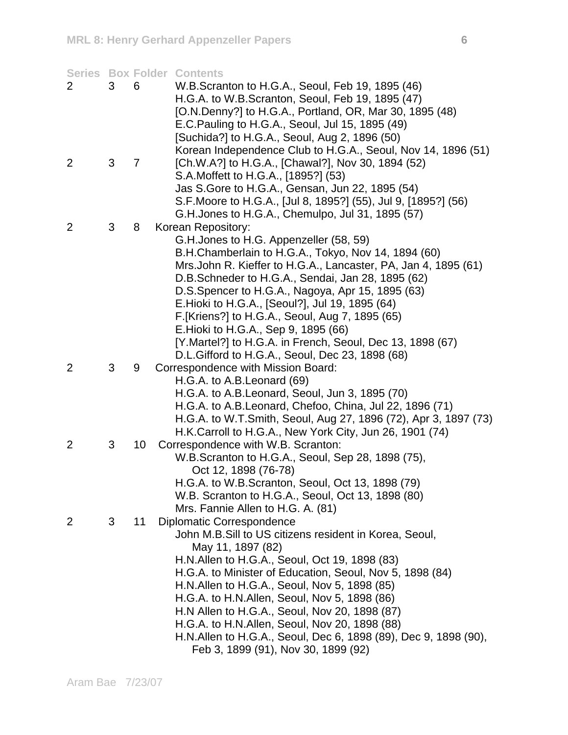|                |   |                 | <b>Series Box Folder Contents</b>                               |
|----------------|---|-----------------|-----------------------------------------------------------------|
| $\overline{2}$ | 3 | 6               | W.B.Scranton to H.G.A., Seoul, Feb 19, 1895 (46)                |
|                |   |                 | H.G.A. to W.B.Scranton, Seoul, Feb 19, 1895 (47)                |
|                |   |                 | [O.N.Denny?] to H.G.A., Portland, OR, Mar 30, 1895 (48)         |
|                |   |                 | E.C. Pauling to H.G.A., Seoul, Jul 15, 1895 (49)                |
|                |   |                 | [Suchida?] to H.G.A., Seoul, Aug 2, 1896 (50)                   |
|                |   |                 | Korean Independence Club to H.G.A., Seoul, Nov 14, 1896 (51)    |
| 2              | 3 | $\overline{7}$  | [Ch.W.A?] to H.G.A., [Chawal?], Nov 30, 1894 (52)               |
|                |   |                 | S.A. Moffett to H.G.A., [1895?] (53)                            |
|                |   |                 | Jas S. Gore to H. G. A., Gensan, Jun 22, 1895 (54)              |
|                |   |                 | S.F. Moore to H.G.A., [Jul 8, 1895?] (55), Jul 9, [1895?] (56)  |
|                |   |                 | G.H. Jones to H.G.A., Chemulpo, Jul 31, 1895 (57)               |
| 2              | 3 | 8               | Korean Repository:                                              |
|                |   |                 | G.H. Jones to H.G. Appenzeller (58, 59)                         |
|                |   |                 | B.H.Chamberlain to H.G.A., Tokyo, Nov 14, 1894 (60)             |
|                |   |                 | Mrs. John R. Kieffer to H.G.A., Lancaster, PA, Jan 4, 1895 (61) |
|                |   |                 | D.B. Schneder to H.G.A., Sendai, Jan 28, 1895 (62)              |
|                |   |                 | D.S. Spencer to H.G.A., Nagoya, Apr 15, 1895 (63)               |
|                |   |                 | E.Hioki to H.G.A., [Seoul?], Jul 19, 1895 (64)                  |
|                |   |                 | F. [Kriens?] to H.G.A., Seoul, Aug 7, 1895 (65)                 |
|                |   |                 | E. Hioki to H.G.A., Sep 9, 1895 (66)                            |
|                |   |                 | [Y.Martel?] to H.G.A. in French, Seoul, Dec 13, 1898 (67)       |
|                |   |                 | D.L. Gifford to H.G.A., Seoul, Dec 23, 1898 (68)                |
| 2              | 3 | 9               | Correspondence with Mission Board:                              |
|                |   |                 | H.G.A. to A.B. Leonard (69)                                     |
|                |   |                 | H.G.A. to A.B.Leonard, Seoul, Jun 3, 1895 (70)                  |
|                |   |                 | H.G.A. to A.B. Leonard, Chefoo, China, Jul 22, 1896 (71)        |
|                |   |                 | H.G.A. to W.T.Smith, Seoul, Aug 27, 1896 (72), Apr 3, 1897 (73) |
|                |   |                 | H.K.Carroll to H.G.A., New York City, Jun 26, 1901 (74)         |
| 2              | 3 | 10 <sup>1</sup> | Correspondence with W.B. Scranton:                              |
|                |   |                 | W.B. Scranton to H.G.A., Seoul, Sep 28, 1898 (75),              |
|                |   |                 | Oct 12, 1898 (76-78)                                            |
|                |   |                 | H.G.A. to W.B.Scranton, Seoul, Oct 13, 1898 (79)                |
|                |   |                 | W.B. Scranton to H.G.A., Seoul, Oct 13, 1898 (80)               |
|                |   |                 | Mrs. Fannie Allen to H.G. A. (81)                               |
| 2              | 3 | 11              | Diplomatic Correspondence                                       |
|                |   |                 | John M.B.Sill to US citizens resident in Korea, Seoul,          |
|                |   |                 | May 11, 1897 (82)                                               |
|                |   |                 | H.N. Allen to H.G.A., Seoul, Oct 19, 1898 (83)                  |
|                |   |                 | H.G.A. to Minister of Education, Seoul, Nov 5, 1898 (84)        |
|                |   |                 | H.N. Allen to H.G.A., Seoul, Nov 5, 1898 (85)                   |
|                |   |                 | H.G.A. to H.N.Allen, Seoul, Nov 5, 1898 (86)                    |
|                |   |                 | H.N Allen to H.G.A., Seoul, Nov 20, 1898 (87)                   |
|                |   |                 | H.G.A. to H.N.Allen, Seoul, Nov 20, 1898 (88)                   |
|                |   |                 | H.N.Allen to H.G.A., Seoul, Dec 6, 1898 (89), Dec 9, 1898 (90), |
|                |   |                 | Feb 3, 1899 (91), Nov 30, 1899 (92)                             |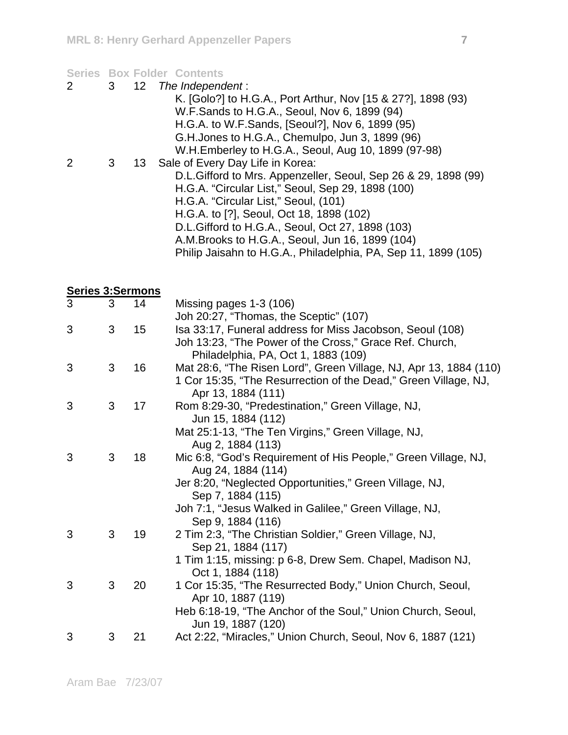#### **Series Box Folder Contents**

- 2 3 12 *The Independent* :
- K. [Golo?] to H.G.A., Port Arthur, Nov [15 & 27?], 1898 (93) W.F.Sands to H.G.A., Seoul, Nov 6, 1899 (94) H.G.A. to W.F.Sands, [Seoul?], Nov 6, 1899 (95) G.H.Jones to H.G.A., Chemulpo, Jun 3, 1899 (96) W.H.Emberley to H.G.A., Seoul, Aug 10, 1899 (97-98) 2 3 13 Sale of Every Day Life in Korea: D.L.Gifford to Mrs. Appenzeller, Seoul, Sep 26 & 29, 1898 (99)
	- H.G.A. "Circular List," Seoul, Sep 29, 1898 (100) H.G.A. "Circular List," Seoul, (101) H.G.A. to [?], Seoul, Oct 18, 1898 (102) D.L.Gifford to H.G.A., Seoul, Oct 27, 1898 (103) A.M.Brooks to H.G.A., Seoul, Jun 16, 1899 (104) Philip Jaisahn to H.G.A., Philadelphia, PA, Sep 11, 1899 (105)

| <b>Series 3:Sermons</b> |   |    |                                                                                                                                                             |
|-------------------------|---|----|-------------------------------------------------------------------------------------------------------------------------------------------------------------|
| 3                       | 3 | 14 | Missing pages 1-3 (106)<br>Joh 20:27, "Thomas, the Sceptic" (107)                                                                                           |
| 3                       | 3 | 15 | Isa 33:17, Funeral address for Miss Jacobson, Seoul (108)<br>Joh 13:23, "The Power of the Cross," Grace Ref. Church,<br>Philadelphia, PA, Oct 1, 1883 (109) |
| 3                       | 3 | 16 | Mat 28:6, "The Risen Lord", Green Village, NJ, Apr 13, 1884 (110)<br>1 Cor 15:35, "The Resurrection of the Dead," Green Village, NJ,<br>Apr 13, 1884 (111)  |
| 3                       | 3 | 17 | Rom 8:29-30, "Predestination," Green Village, NJ,<br>Jun 15, 1884 (112)                                                                                     |
|                         |   |    | Mat 25:1-13, "The Ten Virgins," Green Village, NJ,<br>Aug 2, 1884 (113)                                                                                     |
| 3                       | 3 | 18 | Mic 6:8, "God's Requirement of His People," Green Village, NJ,<br>Aug 24, 1884 (114)                                                                        |
|                         |   |    | Jer 8:20, "Neglected Opportunities," Green Village, NJ,<br>Sep 7, 1884 (115)                                                                                |
|                         |   |    | Joh 7:1, "Jesus Walked in Galilee," Green Village, NJ,<br>Sep 9, 1884 (116)                                                                                 |
| 3                       | 3 | 19 | 2 Tim 2:3, "The Christian Soldier," Green Village, NJ,<br>Sep 21, 1884 (117)                                                                                |
|                         |   |    | 1 Tim 1:15, missing: p 6-8, Drew Sem. Chapel, Madison NJ,<br>Oct 1, 1884 (118)                                                                              |
| 3                       | 3 | 20 | 1 Cor 15:35, "The Resurrected Body," Union Church, Seoul,<br>Apr 10, 1887 (119)                                                                             |
|                         |   |    | Heb 6:18-19, "The Anchor of the Soul," Union Church, Seoul,<br>Jun 19, 1887 (120)                                                                           |
| 3                       | 3 | 21 | Act 2:22, "Miracles," Union Church, Seoul, Nov 6, 1887 (121)                                                                                                |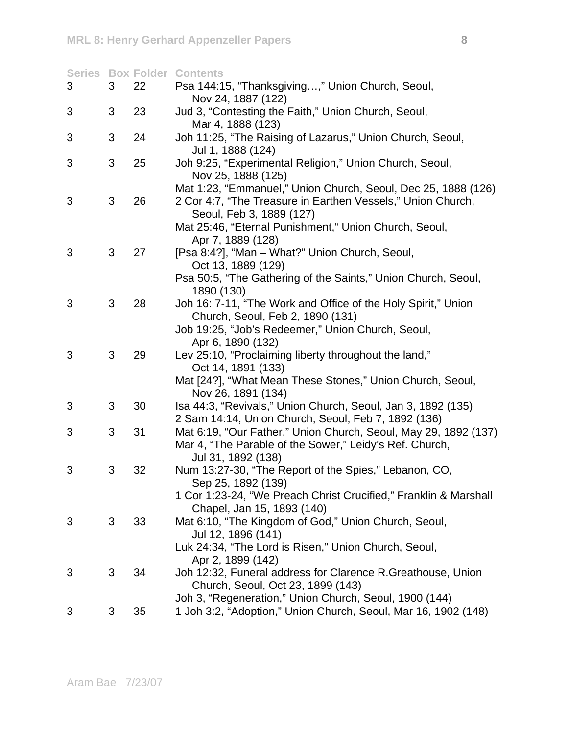|   |   |    | <b>Series Box Folder Contents</b>                                              |
|---|---|----|--------------------------------------------------------------------------------|
| 3 | 3 | 22 | Psa 144:15, "Thanksgiving," Union Church, Seoul,<br>Nov 24, 1887 (122)         |
|   |   |    |                                                                                |
| 3 | 3 | 23 | Jud 3, "Contesting the Faith," Union Church, Seoul,<br>Mar 4, 1888 (123)       |
| 3 | 3 | 24 |                                                                                |
|   |   |    | Joh 11:25, "The Raising of Lazarus," Union Church, Seoul,<br>Jul 1, 1888 (124) |
| 3 | 3 | 25 | Joh 9:25, "Experimental Religion," Union Church, Seoul,<br>Nov 25, 1888 (125)  |
|   |   |    | Mat 1:23, "Emmanuel," Union Church, Seoul, Dec 25, 1888 (126)                  |
| 3 | 3 | 26 | 2 Cor 4:7, "The Treasure in Earthen Vessels," Union Church,                    |
|   |   |    | Seoul, Feb 3, 1889 (127)                                                       |
|   |   |    | Mat 25:46, "Eternal Punishment," Union Church, Seoul,                          |
|   |   |    | Apr 7, 1889 (128)                                                              |
| 3 | 3 | 27 | [Psa 8:4?], "Man - What?" Union Church, Seoul,                                 |
|   |   |    | Oct 13, 1889 (129)                                                             |
|   |   |    | Psa 50:5, "The Gathering of the Saints," Union Church, Seoul,                  |
|   |   |    | 1890 (130)                                                                     |
| 3 | 3 | 28 | Joh 16: 7-11, "The Work and Office of the Holy Spirit," Union                  |
|   |   |    | Church, Seoul, Feb 2, 1890 (131)                                               |
|   |   |    | Job 19:25, "Job's Redeemer," Union Church, Seoul,                              |
|   |   |    | Apr 6, 1890 (132)                                                              |
| 3 | 3 | 29 | Lev 25:10, "Proclaiming liberty throughout the land,"                          |
|   |   |    | Oct 14, 1891 (133)                                                             |
|   |   |    | Mat [24?], "What Mean These Stones," Union Church, Seoul,                      |
|   |   |    | Nov 26, 1891 (134)                                                             |
| 3 | 3 | 30 | Isa 44:3, "Revivals," Union Church, Seoul, Jan 3, 1892 (135)                   |
|   |   |    | 2 Sam 14:14, Union Church, Seoul, Feb 7, 1892 (136)                            |
| 3 | 3 | 31 | Mat 6:19, "Our Father," Union Church, Seoul, May 29, 1892 (137)                |
|   |   |    | Mar 4, "The Parable of the Sower," Leidy's Ref. Church,                        |
|   |   |    | Jul 31, 1892 (138)                                                             |
| 3 | 3 | 32 | Num 13:27-30, "The Report of the Spies," Lebanon, CO,                          |
|   |   |    | Sep 25, 1892 (139)                                                             |
|   |   |    | 1 Cor 1:23-24, "We Preach Christ Crucified," Franklin & Marshall               |
|   |   |    | Chapel, Jan 15, 1893 (140)                                                     |
| 3 | 3 | 33 | Mat 6:10, "The Kingdom of God," Union Church, Seoul,                           |
|   |   |    | Jul 12, 1896 (141)                                                             |
|   |   |    | Luk 24:34, "The Lord is Risen," Union Church, Seoul,                           |
|   |   |    | Apr 2, 1899 (142)                                                              |
| 3 | 3 | 34 | Joh 12:32, Funeral address for Clarence R. Greathouse, Union                   |
|   |   |    | Church, Seoul, Oct 23, 1899 (143)                                              |
|   |   |    | Joh 3, "Regeneration," Union Church, Seoul, 1900 (144)                         |
| 3 | 3 | 35 | 1 Joh 3:2, "Adoption," Union Church, Seoul, Mar 16, 1902 (148)                 |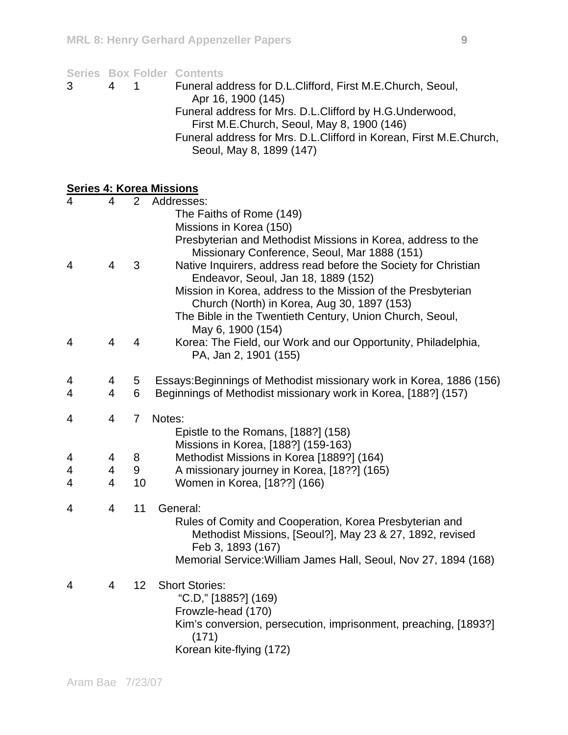|        |                |                 | <b>Series Box Folder Contents</b>                                                |
|--------|----------------|-----------------|----------------------------------------------------------------------------------|
| 3      | 4              | 1               | Funeral address for D.L.Clifford, First M.E.Church, Seoul,<br>Apr 16, 1900 (145) |
|        |                |                 | Funeral address for Mrs. D.L.Clifford by H.G.Underwood,                          |
|        |                |                 | First M.E.Church, Seoul, May 8, 1900 (146)                                       |
|        |                |                 | Funeral address for Mrs. D.L.Clifford in Korean, First M.E.Church,               |
|        |                |                 | Seoul, May 8, 1899 (147)                                                         |
|        |                |                 |                                                                                  |
|        |                |                 | <b>Series 4: Korea Missions</b>                                                  |
| 4      | 4              | $\overline{2}$  | Addresses:<br>The Faiths of Rome (149)                                           |
|        |                |                 | Missions in Korea (150)                                                          |
|        |                |                 | Presbyterian and Methodist Missions in Korea, address to the                     |
|        |                |                 | Missionary Conference, Seoul, Mar 1888 (151)                                     |
| 4      | 4              | 3               | Native Inquirers, address read before the Society for Christian                  |
|        |                |                 | Endeavor, Seoul, Jan 18, 1889 (152)                                              |
|        |                |                 | Mission in Korea, address to the Mission of the Presbyterian                     |
|        |                |                 | Church (North) in Korea, Aug 30, 1897 (153)                                      |
|        |                |                 | The Bible in the Twentieth Century, Union Church, Seoul,                         |
|        |                |                 | May 6, 1900 (154)                                                                |
| 4      | 4              | 4               | Korea: The Field, our Work and our Opportunity, Philadelphia,                    |
|        |                |                 | PA, Jan 2, 1901 (155)                                                            |
| 4      | 4              | 5               | Essays: Beginnings of Methodist missionary work in Korea, 1886 (156)             |
| 4      | $\overline{4}$ | 6               | Beginnings of Methodist missionary work in Korea, [188?] (157)                   |
|        |                |                 |                                                                                  |
| 4      | 4              | 7               | Notes:                                                                           |
|        |                |                 | Epistle to the Romans, [188?] (158)                                              |
|        |                |                 | Missions in Korea, [188?] (159-163)                                              |
| 4<br>4 | 4<br>4         | 8<br>9          | Methodist Missions in Korea [1889?] (164)                                        |
| 4      | 4              | 10              | A missionary journey in Korea, [18??] (165)<br>Women in Korea, [18??] (166)      |
|        |                |                 |                                                                                  |
| 4      | 4              | 11              | General:                                                                         |
|        |                |                 | Rules of Comity and Cooperation, Korea Presbyterian and                          |
|        |                |                 | Methodist Missions, [Seoul?], May 23 & 27, 1892, revised                         |
|        |                |                 | Feb 3, 1893 (167)                                                                |
|        |                |                 | Memorial Service: William James Hall, Seoul, Nov 27, 1894 (168)                  |
| 4      | 4              | 12 <sup>°</sup> | <b>Short Stories:</b>                                                            |
|        |                |                 | "C.D," [1885?] (169)                                                             |
|        |                |                 | Frowzle-head (170)                                                               |
|        |                |                 | Kim's conversion, persecution, imprisonment, preaching, [1893?]                  |
|        |                |                 | (171)                                                                            |
|        |                |                 | Korean kite-flying (172)                                                         |